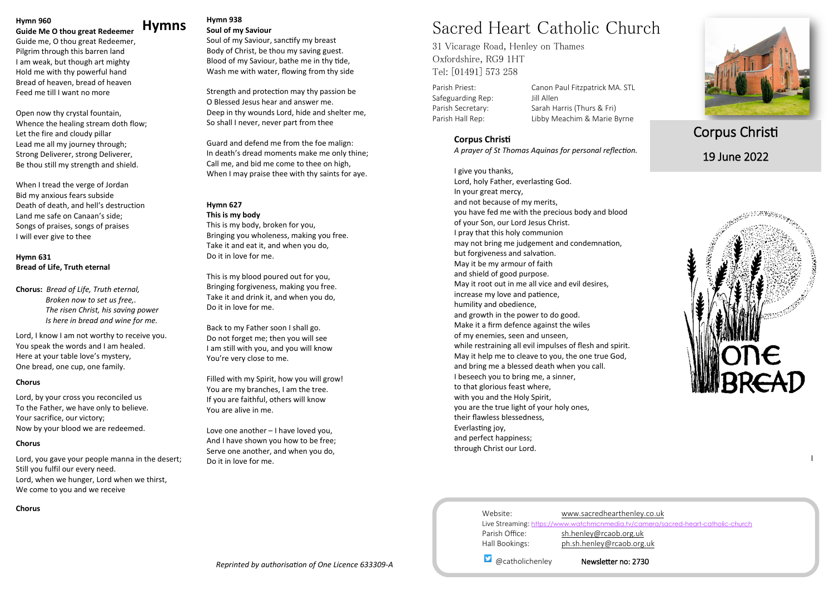#### **Hymns Hymn 938 Soul of my Saviour**

Soul of my Saviour, sanctify my breast Body of Christ, be thou my saving guest. Blood of my Saviour, bathe me in thy tide, Wash me with water, flowing from thy side

Strength and protection may thy passion be O Blessed Jesus hear and answer me. Deep in thy wounds Lord, hide and shelter me, So shall I never, never part from thee

Guard and defend me from the foe malign: In death's dread moments make me only thine; Call me, and bid me come to thee on high, When I may praise thee with thy saints for aye.

#### **Hymn 627**

**This is my body** This is my body, broken for you, Bringing you wholeness, making you free. Take it and eat it, and when you do, Do it in love for me.

This is my blood poured out for you, Bringing forgiveness, making you free. Take it and drink it, and when you do, Do it in love for me.

Back to my Father soon I shall go. Do not forget me; then you will see I am still with you, and you will know You're very close to me.

Filled with my Spirit, how you will grow! You are my branches, I am the tree. If you are faithful, others will know You are alive in me.

Love one another – I have loved you, And I have shown you how to be free; Serve one another, and when you do, Do it in love for me.



#### **Hymn 960**

**Guide Me O thou great Redeemer**

Guide me, O thou great Redeemer, Pilgrim through this barren land I am weak, but though art mighty Hold me with thy powerful hand Bread of heaven, bread of heaven Feed me till I want no more

Open now thy crystal fountain, Whence the healing stream doth flow; Let the fire and cloudy pillar Lead me all my journey through; Strong Deliverer, strong Deliverer, Be thou still my strength and shield.

When I tread the verge of Jordan Bid my anxious fears subside Death of death, and hell's destruction Land me safe on Canaan's side; Songs of praises, songs of praises I will ever give to thee

#### **Hymn 631 Bread of Life, Truth eternal**

**Chorus:** *Bread of Life, Truth eternal, Broken now to set us free,. The risen Christ, his saving power Is here in bread and wine for me.*

Lord, I know I am not worthy to receive you. You speak the words and I am healed. Here at your table love's mystery, One bread, one cup, one family.

#### **Chorus**

Lord, by your cross you reconciled us To the Father, we have only to believe. Your sacrifice, our victory; Now by your blood we are redeemed.

#### **Chorus**

Lord, you gave your people manna in the desert; Still you fulfil our every need. Lord, when we hunger, Lord when we thirst, We come to you and we receive

**Chorus**

# Sacred Heart Catholic Church

31 Vicarage Road, Henley on Thames Oxfordshire, RG9 1HT Tel: [01491] 573 258

Safeguarding Rep: Jill Allen

Parish Priest: Canon Paul Fitzpatrick MA. STL Parish Secretary: Sarah Harris (Thurs & Fri) Parish Hall Rep: Libby Meachim & Marie Byrne

# Corpus Christi 19 June 2022



@catholichenley Newsletter no: 2730

#### **Corpus Christi**

*A prayer of St Thomas Aquinas for personal reflection.*

I give you thanks, Lord, holy Father, everlasting God. In your great mercy, and not because of my merits, you have fed me with the precious body and blood of your Son, our Lord Jesus Christ. I pray that this holy communion may not bring me judgement and condemnation, but forgiveness and salvation. May it be my armour of faith and shield of good purpose. May it root out in me all vice and evil desires, increase my love and patience, humility and obedience, and growth in the power to do good. Make it a firm defence against the wiles of my enemies, seen and unseen, while restraining all evil impulses of flesh and spirit. May it help me to cleave to you, the one true God, and bring me a blessed death when you call. I beseech you to bring me, a sinner, to that glorious feast where, with you and the Holy Spirit, you are the true light of your holy ones, their flawless blessedness, Everlasting joy, and perfect happiness; through Christ our Lord.

| Website:                  | www.sacredhearthenley.                           |
|---------------------------|--------------------------------------------------|
|                           | Live Streaming: https://www.watchmcnmedia.tv/car |
| Parish Office:            | sh.henley@rcaob.org.uk                           |
| Hall Bookings:            | ph.sh.henley@rcaob.org                           |
| $\bullet$ @catholichenley | Newsletter no: 273                               |

l

nlev.co.uk //camera/sacred-heart-catholic-church org.uk